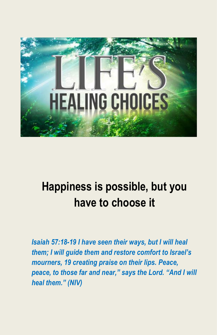

# **Happiness is possible, but you have to choose it**

*Isaiah 57:18-19 I have seen their ways, but I will heal them; I will guide them and restore comfort to Israel's mourners, 19 creating praise on their lips. Peace, peace, to those far and near," says the Lord. "And I will heal them." (NIV)*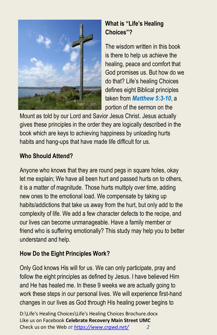

# **What is "Life's Healing Choices"?**

The wisdom written in this book is there to help us achieve the healing, peace and comfort that God promises us. But how do we do that? Life's healing Choices defines eight Biblical principles taken from *Matthew 5:3-10*, a portion of the sermon on the

Mount as told by our Lord and Savior Jesus Christ. Jesus actually gives these principles in the order they are logically described in the book which are keys to achieving happiness by unloading hurts habits and hang-ups that have made life difficult for us.

# **Who Should Attend?**

Anyone who knows that they are round pegs in square holes, okay let me explain; We have all been hurt and passed hurts on to others, it is a matter of magnitude. Those hurts multiply over time, adding new ones to the emotional load. We compensate by taking up habits/addictions that take us away from the hurt, but only add to the complexity of life. We add a few character defects to the recipe, and our lives can become unmanageable. Have a family member or friend who is suffering emotionally? This study may help you to better understand and help.

# **How Do the Eight Principles Work?**

Only God knows His will for us. We can only participate, pray and follow the eight principles as defined by Jesus. I have believed Him and He has healed me. In these 9 weeks we are actually going to work these steps in our personal lives. We will experience first-hand changes in our lives as God through His healing power begins to

D:\Life's Healing Choices\Life's Healing Choices Brochure.docx Like us on Facebook **Celebrate Recovery Main Street UMC** Check us on the Web *at<https://www.crgwd.net/> 2*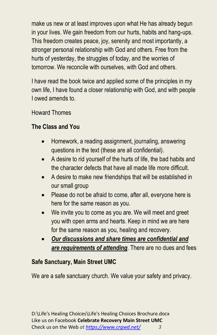make us new or at least improves upon what He has already begun in your lives. We gain freedom from our hurts, habits and hang-ups. This freedom creates peace, joy, serenity and most importantly, a stronger personal relationship with God and others. Free from the hurts of yesterday, the struggles of today, and the worries of tomorrow. We reconcile with ourselves, with God and others.

I have read the book twice and applied some of the principles in my own life, I have found a closer relationship with God, and with people I owed amends to.

Howard Thomes

## **The Class and You**

- Homework, a reading assignment, journaling, answering questions in the text (these are all confidential).
- A desire to rid yourself of the hurts of life, the bad habits and the character defects that have all made life more difficult.
- A desire to make new friendships that will be established in our small group
- Please do not be afraid to come, after all, everyone here is here for the same reason as you.
- We invite you to come as you are. We will meet and greet you with open arms and hearts. Keep in mind we are here for the same reason as you, healing and recovery.
- *Our discussions and share times are confidential and are requirements of attending*. There are no dues and fees

## **Safe Sanctuary, Main Street UMC**

We are a safe sanctuary church. We value your safety and privacy.